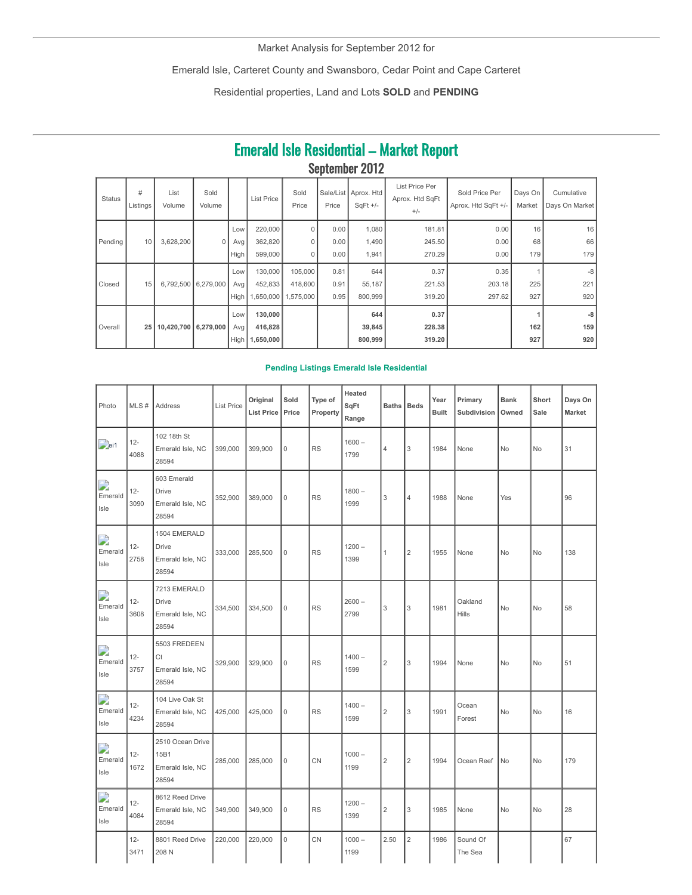Emerald Isle, Carteret County and Swansboro, Cedar Point and Cape Carteret

Residential properties, Land and Lots **SOLD** and **PENDING**

|               |               |                |                |                    |                                 |                                 |                      | <b>September 2012</b>                | <b>Emerald Isle Residential - Market Report</b> |                                       |                   |                              |
|---------------|---------------|----------------|----------------|--------------------|---------------------------------|---------------------------------|----------------------|--------------------------------------|-------------------------------------------------|---------------------------------------|-------------------|------------------------------|
| <b>Status</b> | #<br>Listings | List<br>Volume | Sold<br>Volume |                    | <b>List Price</b>               | Sold<br>Price                   | Price                | Sale/List   Aprox. Htd<br>$SqFt +/-$ | List Price Per<br>Aprox. Htd SqFt<br>$+/-$      | Sold Price Per<br>Aprox. Htd SqFt +/- | Days On<br>Market | Cumulative<br>Days On Market |
| Pending       | 10            | 3,628,200      | 0              | Low<br>Avg<br>High | 220,000<br>362,820<br>599,000   | $\overline{0}$<br>0<br>0        | 0.00<br>0.00<br>0.00 | 1,080<br>1,490<br>1,941              | 181.81<br>245.50<br>270.29                      | 0.00<br>0.00<br>0.00                  | 16<br>68<br>179   | 16<br>66<br>179              |
| Closed        | 15            | 6,792,500      | 6,279,000      | Low<br>Avg<br>High | 130,000<br>452,833<br>1,650,000 | 105,000<br>418,600<br>1,575,000 | 0.81<br>0.91<br>0.95 | 644<br>55,187<br>800,999             | 0.37<br>221.53<br>319.20                        | 0.35<br>203.18<br>297.62              | 225<br>927        | $-8$<br>221<br>920           |
| Overall       | 25            | 10,420,700     | 6,279,000      | Low<br>Avg<br>High | 130,000<br>416,828<br>1,650,000 |                                 |                      | 644<br>39,845<br>800,999             | 0.37<br>228.38<br>319.20                        |                                       | 162<br>927        | $-8$<br>159<br>920           |

### **Pending Listings Emerald Isle Residential**

| Photo                                       | MLS#           | Address                                                   | <b>List Price</b> | Original<br><b>List Price</b> | Sold<br>Price       | Type of<br>Property | Heated<br>SqFt<br>Range | <b>Baths</b>   | <b>Beds</b>    | Year<br><b>Built</b> | Primary<br>Subdivision | <b>Bank</b><br>Owned | Short<br>Sale | Days On<br><b>Market</b> |
|---------------------------------------------|----------------|-----------------------------------------------------------|-------------------|-------------------------------|---------------------|---------------------|-------------------------|----------------|----------------|----------------------|------------------------|----------------------|---------------|--------------------------|
| $e^{i\theta}$ ei1                           | $12 -$<br>4088 | 102 18th St<br>Emerald Isle, NC<br>28594                  | 399,000           | 399,900                       | $\mathbb O$         | <b>RS</b>           | $1600 -$<br>1799        | 4              | 3              | 1984                 | None                   | No                   | No            | 31                       |
| $\mathbf{L}$<br>Emerald<br>Isle             | $12 -$<br>3090 | 603 Emerald<br><b>Drive</b><br>Emerald Isle, NC<br>28594  | 352,900           | 389.000                       | $\mathbf{0}$        | <b>RS</b>           | $1800 -$<br>1999        | 3              | $\overline{4}$ | 1988                 | None                   | Yes                  |               | 96                       |
| $\overline{\phantom{a}}$<br>Emerald<br>Isle | $12 -$<br>2758 | 1504 EMERALD<br><b>Drive</b><br>Emerald Isle, NC<br>28594 | 333.000           | 285,500                       | $\mathbf{0}$        | <b>RS</b>           | $1200 -$<br>1399        | 1              | $\overline{2}$ | 1955                 | None                   | <b>No</b>            | No            | 138                      |
| $\mathbf{L}$<br>Emerald<br>Isle             | $12 -$<br>3608 | 7213 EMERALD<br><b>Drive</b><br>Emerald Isle, NC<br>28594 | 334,500           | 334,500                       | $\mathbf{0}$        | <b>RS</b>           | $2600 -$<br>2799        | 3              | 3              | 1981                 | Oakland<br>Hills       | <b>No</b>            | <b>No</b>     | 58                       |
| $\mathbf{L}$<br>Emerald<br>Isle             | $12 -$<br>3757 | 5503 FREDEEN<br>Ct<br>Emerald Isle, NC<br>28594           | 329.900           | 329.900                       | $\mathbf{0}$        | <b>RS</b>           | $1400 -$<br>1599        | $\overline{c}$ | 3              | 1994                 | None                   | <b>No</b>            | <b>No</b>     | 51                       |
| D<br>Emerald<br>Isle                        | $12 -$<br>4234 | 104 Live Oak St<br>Emerald Isle, NC<br>28594              | 425,000           | 425,000                       | $\mathbb O$         | <b>RS</b>           | $1400 -$<br>1599        | $\overline{c}$ | 3              | 1991                 | Ocean<br>Forest        | <b>No</b>            | <b>No</b>     | 16                       |
| $\overline{\phantom{a}}$<br>Emerald<br>Isle | $12 -$<br>1672 | 2510 Ocean Drive<br>15B1<br>Emerald Isle, NC<br>28594     | 285,000           | 285,000                       | $\mathsf{O}\xspace$ | CN                  | $1000 -$<br>1199        | 2              | $\overline{2}$ | 1994                 | Ocean Reef             | <b>No</b>            | No            | 179                      |
| D<br>Emerald<br>Isle                        | $12 -$<br>4084 | 8612 Reed Drive<br>Emerald Isle, NC<br>28594              | 349,900           | 349,900                       | $\mathbb O$         | <b>RS</b>           | $1200 -$<br>1399        | 2              | 3              | 1985                 | None                   | <b>No</b>            | <b>No</b>     | 28                       |
|                                             | $12 -$<br>3471 | 8801 Reed Drive<br>208 N                                  | 220,000           | 220,000                       | $\mathbf{0}$        | CN                  | $1000 -$<br>1199        | 2.50           | $\overline{2}$ | 1986                 | Sound Of<br>The Sea    |                      |               | 67                       |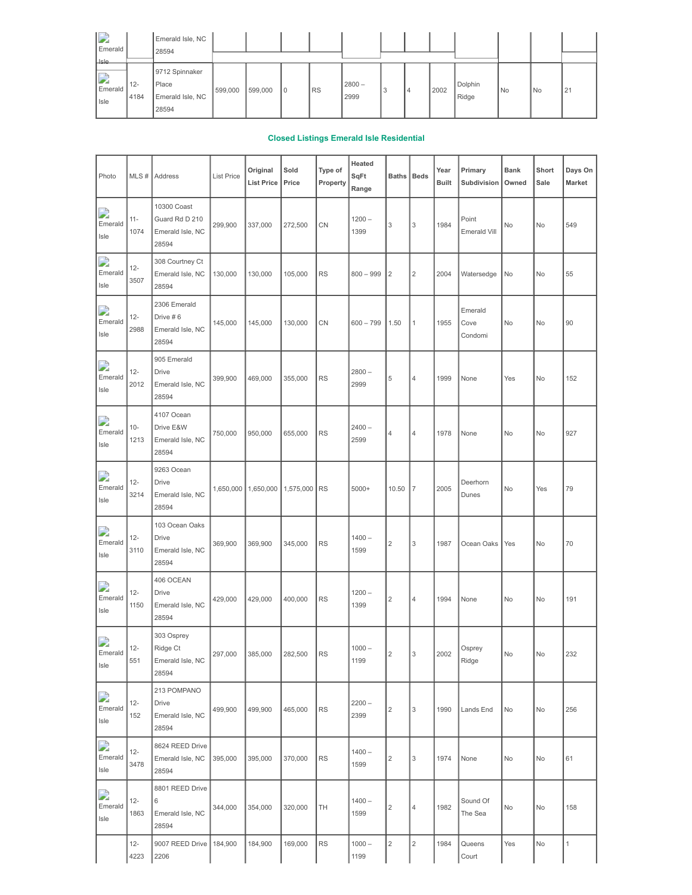| $\mathbf{L}$<br>Emerald<br>Lisle |                | Emerald Isle, NC<br>28594                            |         |         |              |           |                   |   |   |      |                  |      |      |    |
|----------------------------------|----------------|------------------------------------------------------|---------|---------|--------------|-----------|-------------------|---|---|------|------------------|------|------|----|
| D<br>Emerald<br>l Isle           | $12 -$<br>4184 | 9712 Spinnaker<br>Place<br>Emerald Isle, NC<br>28594 | 599,000 | 599,000 | $\mathbf{0}$ | <b>RS</b> | $12800 -$<br>2999 | 3 | 4 | 2002 | Dolphin<br>Ridge | l No | l No | 21 |

### **Closed Listings Emerald Isle Residential**

| Photo                           | MLS#           | Address                                                     | <b>List Price</b> | Original<br><b>List Price</b> | Sold<br>Price | Type of<br>Property | Heated<br>SqFt<br>Range | <b>Baths</b>   | <b>Beds</b>    | Year<br><b>Built</b> | Primary<br>Subdivision       | <b>Bank</b><br>Owned | Short<br>Sale | Days On<br><b>Market</b> |
|---------------------------------|----------------|-------------------------------------------------------------|-------------------|-------------------------------|---------------|---------------------|-------------------------|----------------|----------------|----------------------|------------------------------|----------------------|---------------|--------------------------|
| $\mathbf{L}$<br>Emerald<br>Isle | $11 -$<br>1074 | 10300 Coast<br>Guard Rd D 210<br>Emerald Isle, NC<br>28594  | 299.900           | 337,000                       | 272,500       | <b>CN</b>           | $1200 -$<br>1399        | 3              | 3              | 1984                 | Point<br><b>Emerald Vill</b> | No                   | No            | 549                      |
| D<br>Emerald<br>Isle            | $12 -$<br>3507 | 308 Courtney Ct<br>Emerald Isle, NC<br>28594                | 130,000           | 130,000                       | 105,000       | <b>RS</b>           | $800 - 999$             | $\overline{2}$ | $\overline{2}$ | 2004                 | Watersedge                   | No                   | No            | 55                       |
| $\mathbf{L}$<br>Emerald<br>Isle | $12 -$<br>2988 | 2306 Emerald<br>Drive #6<br>Emerald Isle, NC<br>28594       | 145,000           | 145,000                       | 130,000       | <b>CN</b>           | $600 - 799$             | 1.50           | 1              | 1955                 | Emerald<br>Cove<br>Condomi   | <b>No</b>            | No            | 90                       |
| $\mathbf{L}$<br>Emerald<br>Isle | $12 -$<br>2012 | 905 Emerald<br><b>Drive</b><br>Emerald Isle, NC<br>28594    | 399,900           | 469,000                       | 355,000       | <b>RS</b>           | $2800 -$<br>2999        | 5              | 4              | 1999                 | None                         | Yes                  | No            | 152                      |
| D<br>Emerald<br>Isle            | $10 -$<br>1213 | 4107 Ocean<br>Drive E&W<br>Emerald Isle, NC<br>28594        | 750,000           | 950,000                       | 655,000       | <b>RS</b>           | $2400 -$<br>2599        | 4              | $\overline{4}$ | 1978                 | None                         | No                   | No            | 927                      |
| D<br>Emerald<br>Isle            | $12 -$<br>3214 | 9263 Ocean<br><b>Drive</b><br>Emerald Isle, NC<br>28594     |                   | 1,650,000 1,650,000           | 1,575,000 RS  |                     | $5000+$                 | 10.50          | $\overline{7}$ | 2005                 | Deerhorn<br>Dunes            | <b>No</b>            | Yes           | 79                       |
| D<br>Emerald<br>Isle            | $12 -$<br>3110 | 103 Ocean Oaks<br><b>Drive</b><br>Emerald Isle, NC<br>28594 | 369,900           | 369,900                       | 345,000       | <b>RS</b>           | $1400 -$<br>1599        | $\overline{2}$ | 3              | 1987                 | Ocean Oaks                   | Yes                  | No            | 70                       |
| D<br>Emerald<br>Isle            | $12 -$<br>1150 | 406 OCEAN<br>Drive<br>Emerald Isle, NC<br>28594             | 429,000           | 429,000                       | 400,000       | <b>RS</b>           | $1200 -$<br>1399        | $\overline{2}$ | $\overline{4}$ | 1994                 | None                         | No                   | No            | 191                      |
| D<br>Emerald<br>  Isle          | $12 -$<br>551  | 303 Osprey<br>Ridge Ct<br>Emerald Isle, NC<br>28594         | 297,000           | 385,000                       | 282,500       | <b>RS</b>           | $1000 -$<br>1199        | $\overline{2}$ | 3              | 2002                 | Osprey<br>Ridge              | No                   | No            | 232                      |
| D<br>Emerald<br>Isle            | $12 -$<br>152  | 213 POMPANO<br>Drive<br>Emerald Isle, NC<br>28594           | 499,900           | 499,900                       | 465,000       | <b>RS</b>           | $2200 -$<br>2399        | $\overline{c}$ | 3              | 1990                 | Lands End                    | No                   | No            | 256                      |
| D<br>Emerald<br>Isle            | $12 -$<br>3478 | 8624 REED Drive<br>Emerald Isle, NC<br>28594                | 395,000           | 395,000                       | 370,000       | <b>RS</b>           | $1400 -$<br>1599        | 2              | 3              | 1974                 | None                         | No                   | No            | 61                       |
| D<br>Emerald<br>Isle            | $12 -$<br>1863 | 8801 REED Drive<br>6<br>Emerald Isle, NC<br>28594           | 344,000           | 354,000                       | 320,000       | TH                  | $1400 -$<br>1599        | $\overline{c}$ | $\overline{4}$ | 1982                 | Sound Of<br>The Sea          | No                   | No            | 158                      |
|                                 | $12 -$<br>4223 | 9007 REED Drive<br>2206                                     | 184,900           | 184,900                       | 169,000       | RS                  | $1000 -$<br>1199        | $\overline{c}$ | $\overline{2}$ | 1984                 | Queens<br>Court              | Yes                  | No            | $\mathbf{1}$             |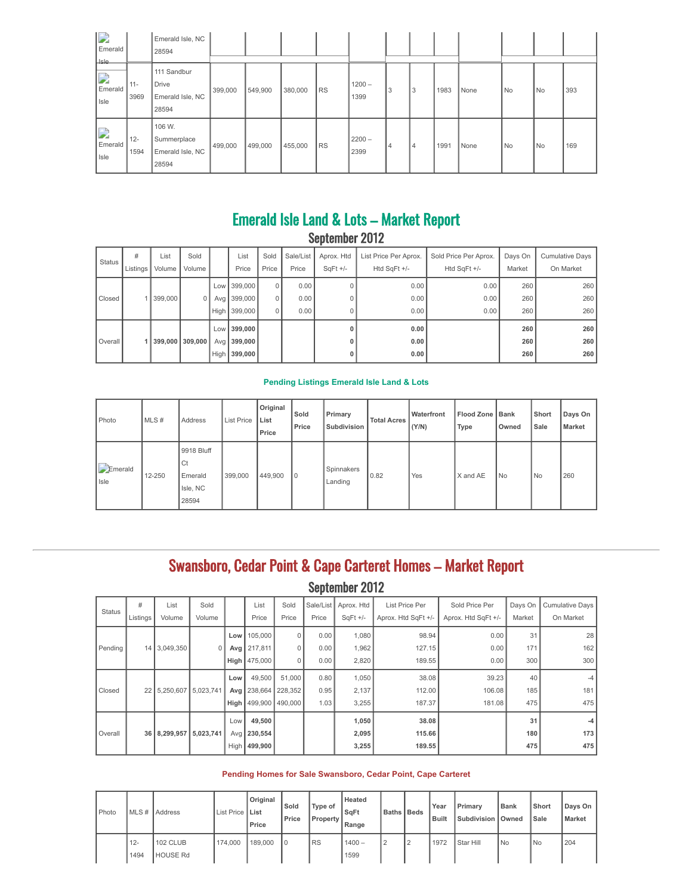| D<br>Emerald<br>طعل  |                | Emerald Isle, NC<br>28594                          |         |         |         |           |                  |                |                |      |      |           |                |     |
|----------------------|----------------|----------------------------------------------------|---------|---------|---------|-----------|------------------|----------------|----------------|------|------|-----------|----------------|-----|
| D<br>Emerald<br>Isle | $11 -$<br>3969 | 111 Sandbur<br>Drive<br>Emerald Isle, NC<br>28594  | 399,000 | 549,900 | 380,000 | <b>RS</b> | $1200 -$<br>1399 | 3              | 3              | 1983 | None | <b>No</b> | l No           | 393 |
| D<br>Emerald<br>Isle | $12 -$<br>1594 | 106 W.<br>Summerplace<br>Emerald Isle, NC<br>28594 | 499,000 | 499,000 | 455,000 | <b>RS</b> | $2200 -$<br>2399 | $\overline{4}$ | $\overline{4}$ | 1991 | None | <b>No</b> | N <sub>o</sub> | 169 |

### Emerald Isle Land & Lots – Market Report September 2012

| Status  | #               | List    | Sold            | List           | Sold     | Sale/List | Aprox. Htd | List Price Per Aprox. | Sold Price Per Aprox. | Days On | <b>Cumulative Days</b> |
|---------|-----------------|---------|-----------------|----------------|----------|-----------|------------|-----------------------|-----------------------|---------|------------------------|
|         | <b>Listings</b> | Volume  | Volume          | Price          | Price    | Price     | $SqFt +/-$ | Htd SqFt +/-          | Htd SqFt +/-          | Market  | On Market              |
|         |                 |         |                 | Low 399,000    | 0        | 0.00      | 0          | 0.00                  | 0.00                  | 260     | 260                    |
| Closed  |                 | 399,000 | 01              | Avg 399,000    | $\Omega$ | 0.00      | 0          | 0.00                  | 0.00                  | 260     | 260                    |
|         |                 |         |                 | High 399,000   |          | 0.00      |            | 0.00                  | 0.00                  | 260     | 260                    |
|         |                 |         |                 | Low 399,000    |          |           | O          | 0.00                  |                       | 260     | 260                    |
| Overall |                 |         | 399,000 309,000 | Avg   399,000  |          |           | 0          | 0.00                  |                       | 260     | 260                    |
|         |                 |         |                 | High   399,000 |          |           | 0          | 0.00                  |                       | 260     | 260                    |

### **Pending Listings Emerald Isle Land & Lots**

| <b>Photo</b>         | MLS#   | Address                                          | List Price | Original<br>List<br>Price | Sold<br>Price | Primary<br>Subdivision | Total Acres | <b>Waterfront</b><br>(Y/N) | Flood Zone Bank<br>Type | Owned | l Short<br>Sale | Days On<br><b>Market</b> |
|----------------------|--------|--------------------------------------------------|------------|---------------------------|---------------|------------------------|-------------|----------------------------|-------------------------|-------|-----------------|--------------------------|
| $E$ merald<br>I Isle | 12-250 | 9918 Bluff<br>Ct<br>Emerald<br>Isle, NC<br>28594 | 399,000    | 449,900                   | 0             | Spinnakers<br>Landing  | 0.82        | Yes                        | X and AE                | l No  | l No            | 260                      |

# Swansboro, Cedar Point & Cape Carteret Homes – Market Report

September 2012

|         | #                     | List      | Sold      |     | List                 | Sold           | Sale/List | Aprox. Htd     | List Price Per      | Sold Price Per      | Days On | Cumulative Days |
|---------|-----------------------|-----------|-----------|-----|----------------------|----------------|-----------|----------------|---------------------|---------------------|---------|-----------------|
| Status  | Listings <sup>1</sup> | Volume    | Volume    |     | Price                | Price          | Price     | $S$ a $Ft +/-$ | Aprox. Htd SqFt +/- | Aprox. Htd SqFt +/- | Market  | On Market       |
|         |                       |           |           |     | $Low$ 105,000        | $\overline{0}$ | 0.00      | 1,080          | 98.94               | 0.00                | 31      | 28              |
| Pending | 14                    | 3,049,350 | 0         |     | Avg 217,811          | $\overline{0}$ | 0.00      | 1,962          | 127.15              | 0.00                | 171     | 162             |
|         |                       |           |           |     | High 475,000         | $\circ$        | 0.00      | 2,820          | 189.55              | 0.00                | 300     | 300             |
|         |                       |           |           | Low | 49,500               | 51,000         | 0.80      | 1,050          | 38.08               | 39.23               | 40      | $-4$            |
| Closed  | 22                    | 5,250,607 | 5.023.741 |     | Avg 238,664          | 228,352        | 0.95      | 2.137          | 112.00              | 106.08              | 185     | 181             |
|         |                       |           |           |     | High 499,900 490,000 |                | 1.03      | 3,255          | 187.37              | 181.08              | 475     | 475             |
|         |                       |           |           | Low | 49,500               |                |           | 1,050          | 38.08               |                     | 31      | $-4$            |
| Overall | 36                    | 8,299,957 | 5,023,741 |     | Avg   230,554        |                |           | 2,095          | 115.66              |                     | 180     | 173             |
|         |                       |           |           |     | High 499,900         |                |           | 3,255          | 189.55              |                     | 475     | 475             |

#### **Pending Homes for Sale Swansboro, Cedar Point, Cape Carteret**

| Photo | MLS#           | Address                            | List Price List | Original<br>Price | Sold<br><b>Price</b> | Type of<br><b>Property</b> | Heated<br>SaFt<br>Range | <b>Baths Beds</b> |   | Year<br><b>Built</b> | <b>Primary</b><br>Subdivision   Owned | <b>Bank</b>    | Short<br>Sale | Days On<br><b>Market</b> |
|-------|----------------|------------------------------------|-----------------|-------------------|----------------------|----------------------------|-------------------------|-------------------|---|----------------------|---------------------------------------|----------------|---------------|--------------------------|
|       | $12 -$<br>1494 | <b>102 CLUB</b><br><b>HOUSE Rd</b> | 174,000         | 189,000           | $\mathsf{I}$ 0       | <b>RS</b>                  | $1400 -$<br>1599        |                   | っ | 1972                 | Star Hill                             | N <sub>o</sub> | l No          | 204                      |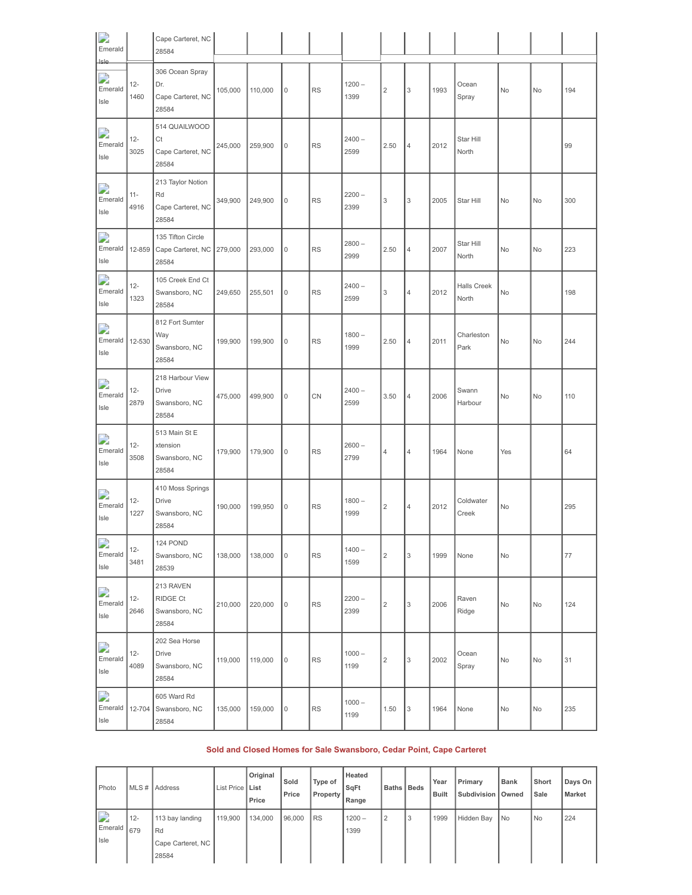| D<br>Emerald<br>علعا                        |                | Cape Carteret, NC<br>28584                                 |         |         |                     |           |                  |                |                |      |                             |               |    |     |
|---------------------------------------------|----------------|------------------------------------------------------------|---------|---------|---------------------|-----------|------------------|----------------|----------------|------|-----------------------------|---------------|----|-----|
| D<br>Emerald<br>Isle                        | $12 -$<br>1460 | 306 Ocean Spray<br>Dr.<br>Cape Carteret, NC<br>28584       | 105.000 | 110,000 | $\mathsf{O}\xspace$ | <b>RS</b> | $1200 -$<br>1399 | $\overline{c}$ | 3              | 1993 | Ocean<br>Spray              | No            | No | 194 |
| D<br>Emerald<br>Isle                        | $12 -$<br>3025 | 514 QUAILWOOD<br>Ct<br>Cape Carteret, NC<br>28584          | 245,000 | 259,900 | 0                   | <b>RS</b> | $2400 -$<br>2599 | 2.50           | $\overline{4}$ | 2012 | Star Hill<br>North          |               |    | 99  |
| $\overline{\phantom{a}}$<br>Emerald<br>Isle | $11 -$<br>4916 | 213 Taylor Notion<br>Rd<br>Cape Carteret, NC<br>28584      | 349,900 | 249,900 | 0                   | <b>RS</b> | $2200 -$<br>2399 | 3              | 3              | 2005 | Star Hill                   | No            | No | 300 |
| D<br>Emerald<br>Isle                        | 12-859         | 135 Tifton Circle<br>Cape Carteret, NC 279,000<br>28584    |         | 293,000 | 0                   | <b>RS</b> | $2800 -$<br>2999 | 2.50           | 4              | 2007 | Star Hill<br>North          | No            | No | 223 |
| $\mathbf{L}$<br>Emerald<br>Isle             | $12 -$<br>1323 | 105 Creek End Ct<br>Swansboro, NC<br>28584                 | 249,650 | 255,501 | 0                   | <b>RS</b> | $2400 -$<br>2599 | 3              | $\overline{4}$ | 2012 | <b>Halls Creek</b><br>North | No            |    | 198 |
| $\mathbf{z}$<br>Emerald<br>Isle             | 12-530         | 812 Fort Sumter<br>Way<br>Swansboro, NC<br>28584           | 199,900 | 199,900 | 0                   | <b>RS</b> | $1800 -$<br>1999 | 2.50           | $\overline{4}$ | 2011 | Charleston<br>Park          | No            | No | 244 |
| $\mathbf{L}$<br>Emerald<br>Isle             | $12 -$<br>2879 | 218 Harbour View<br>Drive<br>Swansboro, NC<br>28584        | 475,000 | 499,900 | 0                   | CN        | $2400 -$<br>2599 | 3.50           | $\overline{4}$ | 2006 | Swann<br>Harbour            | No            | No | 110 |
| $\mathbf{z}$<br>Emerald<br>Isle             | $12 -$<br>3508 | 513 Main St E<br>xtension<br>Swansboro, NC<br>28584        | 179,900 | 179,900 | 0                   | <b>RS</b> | $2600 -$<br>2799 | $\overline{4}$ | $\overline{4}$ | 1964 | None                        | Yes           |    | 64  |
| D<br>Emerald<br>Isle                        | $12 -$<br>1227 | 410 Moss Springs<br><b>Drive</b><br>Swansboro, NC<br>28584 | 190,000 | 199,950 | 0                   | <b>RS</b> | $1800 -$<br>1999 | $\overline{c}$ | $\overline{4}$ | 2012 | Coldwater<br>Creek          | No            |    | 295 |
| $\mathbf{L}$<br>Emerald<br>Isle             | $12 -$<br>3481 | 124 POND<br>Swansboro, NC<br>28539                         | 138,000 | 138,000 | 0                   | <b>RS</b> | $1400 -$<br>1599 | $\overline{c}$ | 3              | 1999 | None                        | No            |    | 77  |
| $\mathbf{L}$<br>Emerald<br>Isle             | $12 -$<br>2646 | 213 RAVEN<br>RIDGE Ct<br>Swansboro, NC<br>28584            | 210,000 | 220,000 | 0                   | <b>RS</b> | $2200 -$<br>2399 | $\overline{c}$ | 3              | 2006 | Raven<br>Ridge              | $\mathsf{No}$ | No | 124 |
| $\mathbf{D}$<br>Emerald<br>Isle             | $12 -$<br>4089 | 202 Sea Horse<br>Drive<br>Swansboro, NC<br>28584           | 119,000 | 119,000 | 0                   | <b>RS</b> | $1000 -$<br>1199 | $\overline{c}$ | 3              | 2002 | Ocean<br>Spray              | No            | No | 31  |
| $\mathbf{D}$<br>Emerald<br>Isle             | 12-704         | 605 Ward Rd<br>Swansboro, NC<br>28584                      | 135,000 | 159,000 | 0                   | <b>RS</b> | $1000 -$<br>1199 | 1.50           | 3              | 1964 | None                        | No            | No | 235 |

#### **Sold and Closed Homes for Sale Swansboro, Cedar Point, Cape Carteret**

| Photo                                  |        | MLS # Address     | List Price List | Original<br>l Price | Sold<br>Price | Type of<br><b>Property I</b> | Heated<br>SqFt<br>Range | <b>Baths Beds</b> |   | Year<br><b>Built</b> | <b>Primary</b><br>Subdivision   Owned | l Bank          | Short<br>Sale | Days On  <br><b>Market</b> |
|----------------------------------------|--------|-------------------|-----------------|---------------------|---------------|------------------------------|-------------------------|-------------------|---|----------------------|---------------------------------------|-----------------|---------------|----------------------------|
| D                                      | $12 -$ | 113 bay landing   | 119,900         | 134.000             | 96.000        | l RS                         | $1200 -$                |                   | 3 | 1999                 | Hidden Bay                            | 1 <sub>No</sub> | l No          | 224                        |
| $\mathsf{E}$ merald $\mathsf{I}_{679}$ |        | Rd                |                 |                     |               |                              | 1399                    |                   |   |                      |                                       |                 |               |                            |
| l Isle                                 |        | Cape Carteret, NC |                 |                     |               |                              |                         |                   |   |                      |                                       |                 |               |                            |
|                                        |        | 28584             |                 |                     |               |                              |                         |                   |   |                      |                                       |                 |               |                            |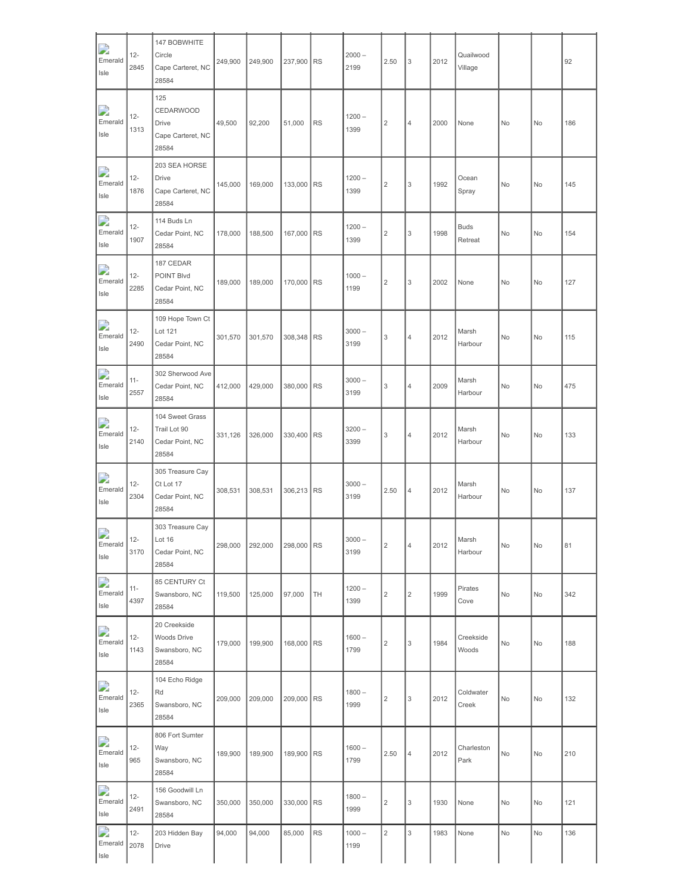| $\mathbf{L}$<br>Emerald<br>Isle             | $12 -$<br>2845 | 147 BOBWHITE<br>Circle<br>Cape Carteret, NC<br>28584        | 249,900 | 249,900 | 237,900 RS |           | $2000 -$<br>2199 | 2.50                    | 3              | 2012 | Quailwood<br>Village   |    |    | 92  |
|---------------------------------------------|----------------|-------------------------------------------------------------|---------|---------|------------|-----------|------------------|-------------------------|----------------|------|------------------------|----|----|-----|
| $\overline{\phantom{a}}$<br>Emerald<br>Isle | $12 -$<br>1313 | 125<br>CEDARWOOD<br>Drive<br>Cape Carteret, NC<br>28584     | 49,500  | 92,200  | 51,000     | <b>RS</b> | $1200 -$<br>1399 | $\overline{2}$          | 4              | 2000 | None                   | No | No | 186 |
| D<br>Emerald<br>Isle                        | $12 -$<br>1876 | 203 SEA HORSE<br>Drive<br>Cape Carteret, NC<br>28584        | 145,000 | 169,000 | 133,000 RS |           | $1200 -$<br>1399 | $\overline{2}$          | 3              | 1992 | Ocean<br>Spray         | No | No | 145 |
| $\mathbf{D}$<br>Emerald<br>Isle             | $12 -$<br>1907 | 114 Buds Ln<br>Cedar Point, NC<br>28584                     | 178,000 | 188,500 | 167,000 RS |           | $1200 -$<br>1399 | $\overline{\mathbf{c}}$ | 3              | 1998 | <b>Buds</b><br>Retreat | No | No | 154 |
| D<br>Emerald<br>Isle                        | $12 -$<br>2285 | 187 CEDAR<br>POINT Blvd<br>Cedar Point, NC<br>28584         | 189,000 | 189,000 | 170,000 RS |           | $1000 -$<br>1199 | 2                       | 3              | 2002 | None                   | No | No | 127 |
| $\overline{\phantom{a}}$<br>Emerald<br>Isle | $12 -$<br>2490 | 109 Hope Town Ct<br>Lot 121<br>Cedar Point, NC<br>28584     | 301,570 | 301,570 | 308,348 RS |           | $3000 -$<br>3199 | 3                       | 4              | 2012 | Marsh<br>Harbour       | No | No | 115 |
| $\mathbf{D}$<br>Emerald<br>Isle             | $11 -$<br>2557 | 302 Sherwood Ave<br>Cedar Point, NC<br>28584                | 412,000 | 429,000 | 380,000 RS |           | $3000 -$<br>3199 | 3                       | 4              | 2009 | Marsh<br>Harbour       | No | No | 475 |
| D<br>Emerald<br>Isle                        | $12 -$<br>2140 | 104 Sweet Grass<br>Trail Lot 90<br>Cedar Point, NC<br>28584 | 331,126 | 326,000 | 330,400 RS |           | $3200 -$<br>3399 | 3                       | 4              | 2012 | Marsh<br>Harbour       | No | No | 133 |
| D<br>Emerald<br>Isle                        | $12 -$<br>2304 | 305 Treasure Cay<br>Ct Lot 17<br>Cedar Point, NC<br>28584   | 308,531 | 308,531 | 306,213 RS |           | $3000 -$<br>3199 | 2.50                    | 4              | 2012 | Marsh<br>Harbour       | No | No | 137 |
| D<br>Emerald<br>Isle                        | $12 -$<br>3170 | 303 Treasure Cay<br>Lot 16<br>Cedar Point, NC<br>28584      | 298,000 | 292,000 | 298,000 RS |           | $3000 -$<br>3199 | $\overline{\mathbf{c}}$ | 4              | 2012 | Marsh<br>Harbour       | No | No | 81  |
| D<br>Emerald<br>Isle                        | $11 -$<br>4397 | 85 CENTURY Ct<br>Swansboro, NC<br>28584                     | 119,500 | 125,000 | 97,000     | TH        | $1200 -$<br>1399 | $\overline{\mathbf{c}}$ | $\overline{c}$ | 1999 | Pirates<br>Cove        | No | No | 342 |
| $\mathbf{L}$<br>Emerald<br>Isle             | $12 -$<br>1143 | 20 Creekside<br>Woods Drive<br>Swansboro, NC<br>28584       | 179,000 | 199,900 | 168,000 RS |           | $1600 -$<br>1799 | $\overline{\mathbf{c}}$ | 3              | 1984 | Creekside<br>Woods     | No | No | 188 |
| $\mathbf{L}$<br>Emerald<br>Isle             | $12 -$<br>2365 | 104 Echo Ridge<br>Rd<br>Swansboro, NC<br>28584              | 209,000 | 209,000 | 209,000 RS |           | $1800 -$<br>1999 | 2                       | 3              | 2012 | Coldwater<br>Creek     | No | No | 132 |
| D<br>Emerald<br>Isle                        | $12 -$<br>965  | 806 Fort Sumter<br>Way<br>Swansboro, NC<br>28584            | 189,900 | 189,900 | 189,900 RS |           | $1600 -$<br>1799 | 2.50                    | 4              | 2012 | Charleston<br>Park     | No | No | 210 |
| D<br>Emerald<br>Isle                        | $12 -$<br>2491 | 156 Goodwill Ln<br>Swansboro, NC<br>28584                   | 350,000 | 350,000 | 330,000 RS |           | $1800 -$<br>1999 | 2                       | 3              | 1930 | None                   | No | No | 121 |
| $\overline{\phantom{a}}$<br>Emerald<br>Isle | $12 -$<br>2078 | 203 Hidden Bay<br>Drive                                     | 94,000  | 94,000  | 85,000     | <b>RS</b> | $1000 -$<br>1199 | $\overline{c}$          | 3              | 1983 | None                   | No | No | 136 |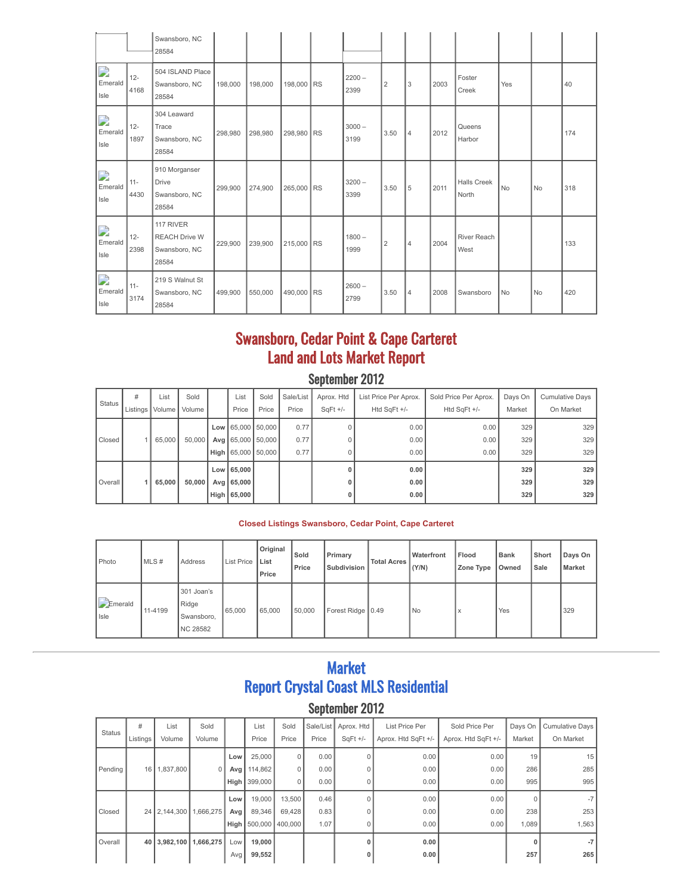|                      |                | Swansboro, NC<br>28584                                      |         |         |            |                  |                |                |      |                             |                |                |     |
|----------------------|----------------|-------------------------------------------------------------|---------|---------|------------|------------------|----------------|----------------|------|-----------------------------|----------------|----------------|-----|
| D<br>Emerald<br>Isle | $12 -$<br>4168 | 504 ISLAND Place<br>Swansboro, NC<br>28584                  | 198,000 | 198,000 | 198,000 RS | $2200 -$<br>2399 | $\overline{2}$ | 3              | 2003 | Foster<br>Creek             | Yes            |                | 40  |
| D<br>Emerald<br>Isle | $12 -$<br>1897 | 304 Leaward<br>Trace<br>Swansboro, NC<br>28584              | 298,980 | 298,980 | 298,980 RS | $3000 -$<br>3199 | 3.50           | $\overline{4}$ | 2012 | Queens<br>Harbor            |                |                | 174 |
| D<br>Emerald<br>Isle | $11 -$<br>4430 | 910 Morganser<br><b>Drive</b><br>Swansboro, NC<br>28584     | 299,900 | 274,900 | 265,000 RS | $3200 -$<br>3399 | 3.50           | 5              | 2011 | <b>Halls Creek</b><br>North | N <sub>o</sub> | N <sub>o</sub> | 318 |
| D<br>Emerald<br>Isle | $12 -$<br>2398 | 117 RIVER<br><b>REACH Drive W</b><br>Swansboro, NC<br>28584 | 229,900 | 239,900 | 215,000 RS | $1800 -$<br>1999 | $\overline{2}$ | $\overline{4}$ | 2004 | River Reach<br>West         |                |                | 133 |
| D<br>Emerald<br>Isle | $11 -$<br>3174 | 219 S Walnut St<br>Swansboro, NC<br>28584                   | 499,900 | 550,000 | 490,000 RS | $2600 -$<br>2799 | 3.50           | $\overline{4}$ | 2008 | Swansboro                   | N <sub>o</sub> | N <sub>o</sub> | 420 |

## Swansboro, Cedar Point & Cape Carteret Land and Lots Market Report

### September 2012

| Status  | #<br>Listings | List<br>Volume | Sold<br>Volume | ∟ist<br>Price                               | Sold<br>Price                                                | Sale/List<br>Price   | Aprox. Htd<br>$SqFt$ +/- | List Price Per Aprox.<br>Htd SqFt +/- | Sold Price Per Aprox.<br>Htd SqFt +/- | Days On<br>Market | <b>Cumulative Days</b><br>On Market |
|---------|---------------|----------------|----------------|---------------------------------------------|--------------------------------------------------------------|----------------------|--------------------------|---------------------------------------|---------------------------------------|-------------------|-------------------------------------|
| Closed  |               | 65,000         | 50,000         |                                             | Low 65,000 50,000<br>Avg 65,000 50,000<br>High 65,000 50,000 | 0.77<br>0.77<br>0.77 |                          | 0.00<br>0.00<br>0.00                  | 0.00<br>0.00<br>0.00                  | 329<br>329<br>329 | 329<br>329<br>329                   |
| Overall |               | 65,000         | 50,000         | Low $65,000$<br>Avg 65,000<br>High   65,000 |                                                              |                      | 0                        | 0.00<br>0.00<br>0.00                  |                                       | 329<br>329<br>329 | 329<br>329<br>329                   |

### **Closed Listings Swansboro, Cedar Point, Cape Carteret**

| Photo                | MLS#    | Address                                              | <b>List Price</b> | Original<br>List<br>Price | Sold<br>Price | Primary<br>Subdivision | <b>Total Acres</b> | <b>Waterfront</b><br> (Y/N) | Flood<br>Zone Type | Bank<br>Owned | l Short<br>l Sale | Days On<br><b>Market</b> |
|----------------------|---------|------------------------------------------------------|-------------------|---------------------------|---------------|------------------------|--------------------|-----------------------------|--------------------|---------------|-------------------|--------------------------|
| $E$ merald<br>I Isle | 11-4199 | 301 Joan's<br>Ridge<br>Swansboro,<br><b>NC 28582</b> | 65,000            | 65,000                    | 50,000        | Forest Ridge   0.49    |                    | l No                        | X                  | Yes           |                   | 329                      |

# **Market** Report Crystal Coast MLS Residential

# September 2012

| Status  | #                     | List         | Sold        |                  | List                 | Sold        | Sale/List | Aprox. Htd  | List Price Per      | Sold Price Per      | Days On | <b>Cumulative Days</b> |
|---------|-----------------------|--------------|-------------|------------------|----------------------|-------------|-----------|-------------|---------------------|---------------------|---------|------------------------|
|         | Listings <sup>'</sup> | Volume       | Volume      |                  | Price                | Price       | Price     | $SqFt$ +/-  | Aprox. Htd SqFt +/- | Aprox. Htd SqFt +/- | Market  | On Market              |
|         |                       |              |             | Low              | 25,000               | 0           | 0.00      | 0           | 0.00                | 0.00                | 19      | 15                     |
| Pending | 16 <sup>1</sup>       | 1,837,800    | $\mathbf 0$ | Avg              | 114,862              | 0           | 0.00      |             | 0.00                | 0.00                | 286     | 285                    |
|         |                       |              |             |                  | High 399,000         | $\mathbf 0$ | 0.00      | $\Omega$    | 0.00                | 0.00                | 995     | 995                    |
|         |                       |              |             | Low              | 19,000               | 13,500      | 0.46      | $\mathbf 0$ | 0.00                | 0.00                |         | $-7$                   |
| Closed  |                       | 24 2,144,300 | 1,666,275   | Avg              | 89,346               | 69.428      | 0.83      |             | 0.00                | 0.00                | 238     | 253                    |
|         |                       |              |             |                  | High 500,000 400,000 |             | 1.07      | $\Omega$    | 0.00                | 0.00                | 1,089   | 1,563                  |
| Overall |                       | 40 3,982,100 | 1,666,275   | Low              | 19,000               |             |           | O           | 0.00                |                     |         | $-7$                   |
|         |                       |              |             | Avg <sup>1</sup> | 99,552               |             |           | 0           | 0.00                |                     | 257     | 265                    |